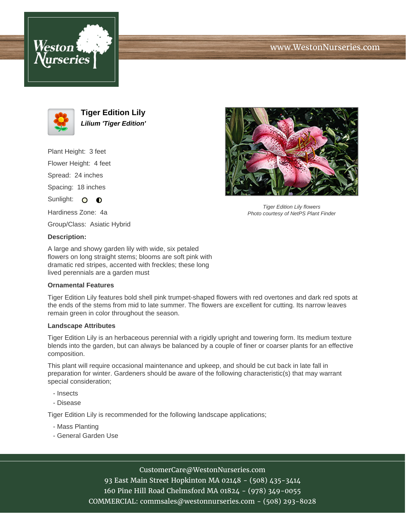





**Tiger Edition Lily Lilium 'Tiger Edition'**

Plant Height: 3 feet Flower Height: 4 feet Spread: 24 inches Spacing: 18 inches Sunlight: O O Hardiness Zone: 4a

Group/Class: Asiatic Hybrid

# **Description:**

A large and showy garden lily with wide, six petaled flowers on long straight stems; blooms are soft pink with dramatic red stripes, accented with freckles; these long lived perennials are a garden must

### **Ornamental Features**

Tiger Edition Lily features bold shell pink trumpet-shaped flowers with red overtones and dark red spots at the ends of the stems from mid to late summer. The flowers are excellent for cutting. Its narrow leaves remain green in color throughout the season.

#### **Landscape Attributes**

Tiger Edition Lily is an herbaceous perennial with a rigidly upright and towering form. Its medium texture blends into the garden, but can always be balanced by a couple of finer or coarser plants for an effective composition.

This plant will require occasional maintenance and upkeep, and should be cut back in late fall in preparation for winter. Gardeners should be aware of the following characteristic(s) that may warrant special consideration;

- Insects
- Disease

Tiger Edition Lily is recommended for the following landscape applications;

- Mass Planting
- General Garden Use



Tiger Edition Lily flowers Photo courtesy of NetPS Plant Finder

# CustomerCare@WestonNurseries.com

93 East Main Street Hopkinton MA 02148 - (508) 435-3414 160 Pine Hill Road Chelmsford MA 01824 - (978) 349-0055 COMMERCIAL: commsales@westonnurseries.com - (508) 293-8028